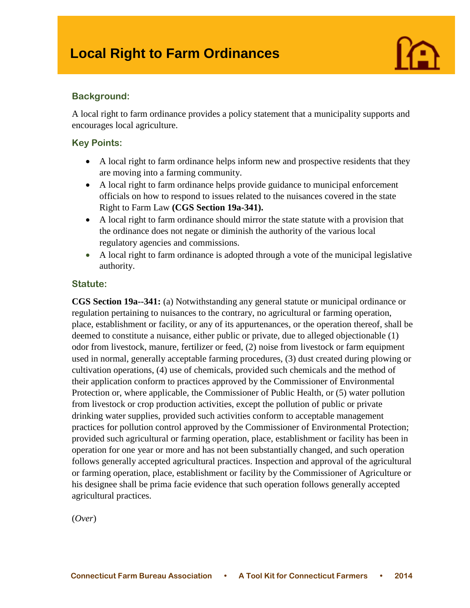

## **Background:**

A local right to farm ordinance provides a policy statement that a municipality supports and encourages local agriculture.

#### **Key Points:**

- A local right to farm ordinance helps inform new and prospective residents that they are moving into a farming community.
- A local right to farm ordinance helps provide guidance to municipal enforcement officials on how to respond to issues related to the nuisances covered in the state Right to Farm Law **(CGS Section 19a-341).**
- A local right to farm ordinance should mirror the state statute with a provision that the ordinance does not negate or diminish the authority of the various local regulatory agencies and commissions.
- A local right to farm ordinance is adopted through a vote of the municipal legislative authority.

#### **Statute:**

**CGS Section 19a--341:** (a) Notwithstanding any general statute or municipal ordinance or regulation pertaining to nuisances to the contrary, no agricultural or farming operation, place, establishment or facility, or any of its appurtenances, or the operation thereof, shall be deemed to constitute a nuisance, either public or private, due to alleged objectionable (1) odor from livestock, manure, fertilizer or feed, (2) noise from livestock or farm equipment used in normal, generally acceptable farming procedures, (3) dust created during plowing or cultivation operations, (4) use of chemicals, provided such chemicals and the method of their application conform to practices approved by the Commissioner of Environmental Protection or, where applicable, the Commissioner of Public Health, or (5) water pollution from livestock or crop production activities, except the pollution of public or private drinking water supplies, provided such activities conform to acceptable management practices for pollution control approved by the Commissioner of Environmental Protection; provided such agricultural or farming operation, place, establishment or facility has been in operation for one year or more and has not been substantially changed, and such operation follows generally accepted agricultural practices. Inspection and approval of the agricultural or farming operation, place, establishment or facility by the Commissioner of Agriculture or his designee shall be prima facie evidence that such operation follows generally accepted agricultural practices.

(*Over*)